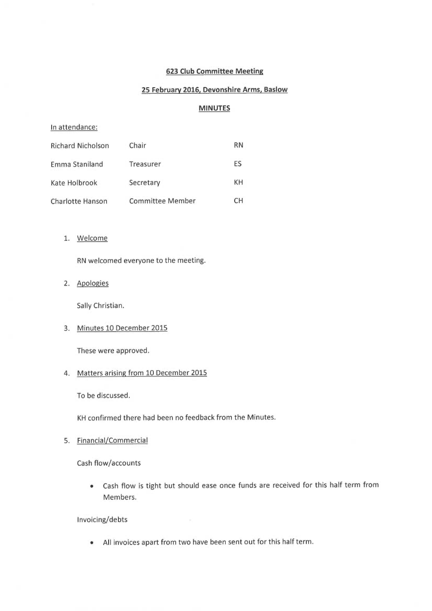#### 623 Club Committee Meeting

## 25 February 2016, Devonshire Arms, Baslow

#### MINUTES

#### In attendance:

| <b>Richard Nicholson</b> | Chair                   | <b>RN</b> |
|--------------------------|-------------------------|-----------|
| Emma Staniland           | Treasurer               | <b>FS</b> |
| Kate Holbrook            | Secretary               | KН        |
| Charlotte Hanson         | <b>Committee Member</b> | CН        |

#### 1. Welcome

RN welcomed everyone to the meeting.

2. Apologies

Sally Christian.

3. Minutes 10 December 2015

These were approved.

#### 4. Matters arising from 10 December 2015

To be discussed.

KH confirmed there had been no feedback from the Minutes.

5. Financial/Commercial

Cash flow/accounts

• Cash flow is tight but should ease once funds are received for this half term from Members.

#### Invoicing/debts

• All invoices apart from two have been sent out for this half term.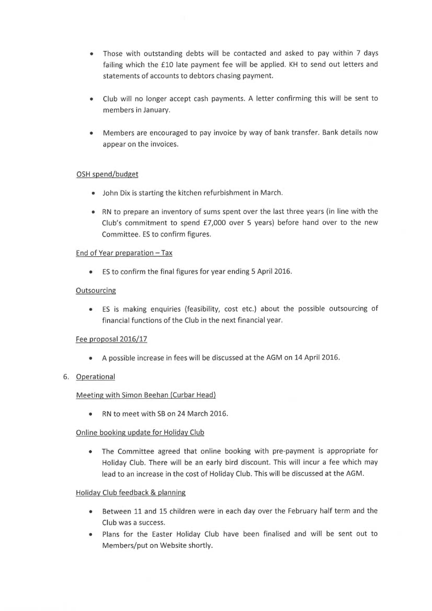- Those with outstanding debts will be contacted and asked to pay within 7 days failing which the f10 late payment fee will be applied. KH to send out letters and statements of accounts to debtors chasing payment.
- Club will no longer accept cash payments. A letter confirming this will be sent to members in January.
- Members are encouraged to pay invoice by way of bank transfer. Bank details now appear on the invoices.

## OSH spend/budget

- John Dix is starting the kitchen refurbishment in March.
- RN to prepare an inventory of sums spent over the last three years (in line with the Club's commitment to spend £7,000 over 5 years) before hand over to the new Committee. ES to confirm figures.

## End of Year preparation —Tax

• ES to confirm the final figures for year ending 5 April 2016.

## **Outsourcing**

• ES is making enquiries (feasibility, cost etc.) about the possible outsourcing of financial functions of the Club in the next financial year.

# Fee proposal 2016/17

• A possible increase in fees will be discussed at the AGM on 14 April 2016.

## 6. Operational

## Meeting with Simon Beehan (Curbar Head)

• RN to meet with SB on 24 March 2016.

## Online booking update for Holiday Club

• The Committee agreed that online booking with pre-payment is appropriate for Holiday Club. There will be an early bird discount. This will incur a fee which may lead to an increase in the cost of Holiday Club. This will be discussed at the AGM.

## Holiday Club feedback & planning

- Between 11 and 15 children were in each day over the February half term and the Club was a success.
- Plans for the Easter Holiday Club have been finalised and will be sent out to Members/put on Website shortly.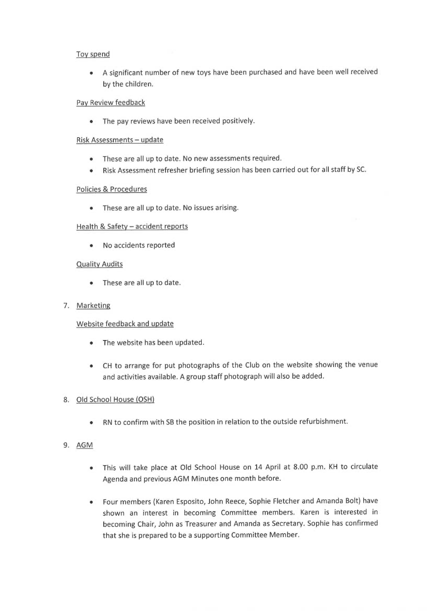#### Tov spend

• <sup>A</sup>significant number of new toys have been purchased and have been well received by the children.

#### Pav Review feedback

• The pay reviews have been received positively.

#### Risk Assessments - update

- These are all up to date. No new assessments required.
- Risk Assessment refresher briefing session has been carried out for all staff by SC.

## Policies & Procedures

• These are all up to date. No issues arising.

## Health & Safety - accident reports

• No accidents reported

#### Quality Audits

These are all up to date.

#### 7. Marketing

## Website feedback and update

- The website has been updated.
- CH to arrange for put photographs of the Club on the website showing the venue and activities available. A group staff photograph will also be added.

## 8. Old School House (OSH

• RN to confirm with SB the position in relation to the outside refurbishment.

## 9. AGM

- This will take place at Old School House on 14 April at 8.00 p.m. KH to circulate Agenda and previous AGM Minutes one month before.
- Four members (Karen Esposito, John Reece, Sophie Fletcher and Amanda Bolt) have shown an interest in becoming Committee members. Karen is interested in becoming Chair, John as Treasurer and Amanda as Secretary. Sophie has confirmed that she is prepared to be a supporting Committee Member.